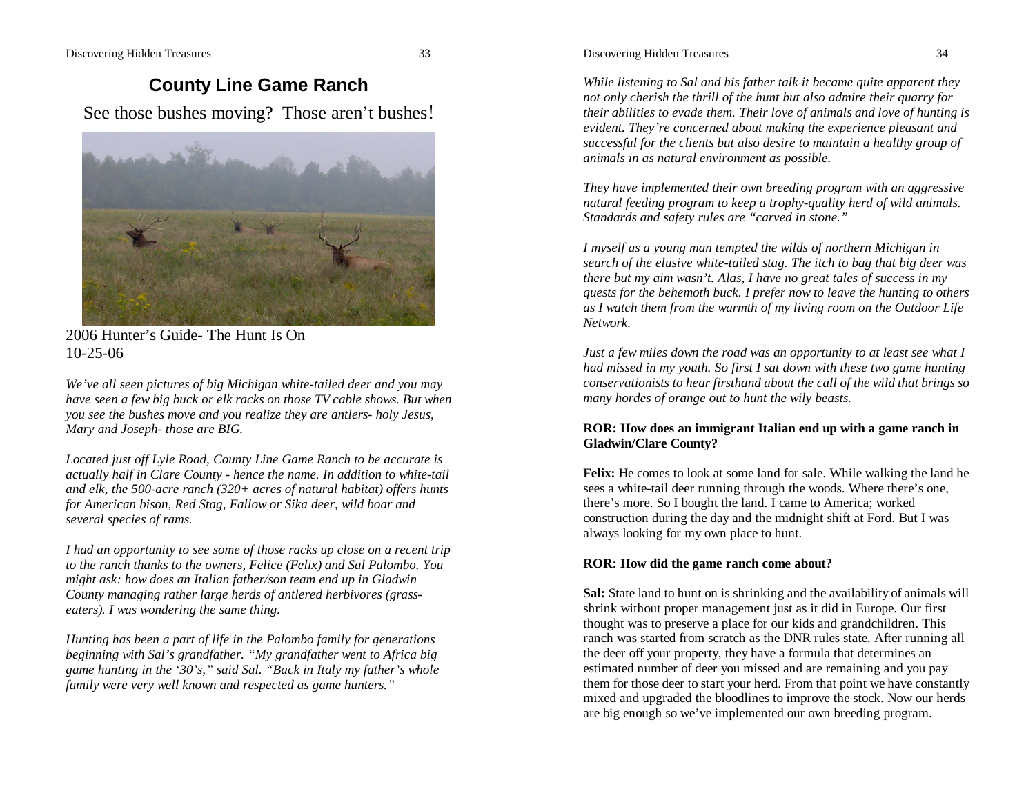# **County Line Game Ranch**

See those bushes moving? Those aren't bushes!



2006 Hunter's Guide- The Hunt Is On 10-25-06

*We've all seen pictures of big Michigan white-tailed deer and you may have seen a few big buck or elk racks on those TV cable shows. But when you see the bushes move and you realize they are antlers- holy Jesus, Mary and Joseph- those are BIG.*

*Located just off Lyle Road, County Line Game Ranch to be accurate is actually half in Clare County - hence the name. In addition to white-tail and elk, the 500-acre ranch (320+ acres of natural habitat) offers hunts for American bison, Red Stag, Fallow or Sika deer, wild boar and several species of rams.*

*I had an opportunity to see some of those racks up close on a recent trip to the ranch thanks to the owners, Felice (Felix) and Sal Palombo. You might ask: how does an Italian father/son team end up in Gladwin County managing rather large herds of antlered herbivores (grasseaters). I was wondering the same thing.*

*Hunting has been a part of life in the Palombo family for generations beginning with Sal's grandfather. "My grandfather went to Africa big game hunting in the '30's," said Sal. "Back in Italy my father's whole family were very well known and respected as game hunters."*

*While listening to Sal and his father talk it became quite apparent they not only cherish the thrill of the hunt but also admire their quarry for their abilities to evade them. Their love of animals and love of hunting is evident. They're concerned about making the experience pleasant and successful for the clients but also desire to maintain a healthy group of animals in as natural environment as possible.*

*They have implemented their own breeding program with an aggressive natural feeding program to keep a trophy-quality herd of wild animals. Standards and safety rules are "carved in stone."* 

*I myself as a young man tempted the wilds of northern Michigan in search of the elusive white-tailed stag. The itch to bag that big deer was there but my aim wasn't. Alas, I have no great tales of success in my quests for the behemoth buck. I prefer now to leave the hunting to others as I watch them from the warmth of my living room on the Outdoor Life Network.*

*Just a few miles down the road was an opportunity to at least see what I had missed in my youth. So first I sat down with these two game hunting conservationists to hear firsthand about the call of the wild that brings so many hordes of orange out to hunt the wily beasts.* 

## **ROR: How does an immigrant Italian end up with a game ranch in Gladwin/Clare County?**

**Felix:** He comes to look at some land for sale. While walking the land he sees a white-tail deer running through the woods. Where there's one, there's more. So I bought the land. I came to America; worked construction during the day and the midnight shift at Ford. But I was always looking for my own place to hunt.

## **ROR: How did the game ranch come about?**

**Sal:** State land to hunt on is shrinking and the availability of animals will shrink without proper management just as it did in Europe. Our first thought was to preserve a place for our kids and grandchildren. This ranch was started from scratch as the DNR rules state. After running all the deer off your property, they have a formula that determines an estimated number of deer you missed and are remaining and you pay them for those deer to start your herd. From that point we have constantly mixed and upgraded the bloodlines to improve the stock. Now our herds are big enough so we've implemented our own breeding program.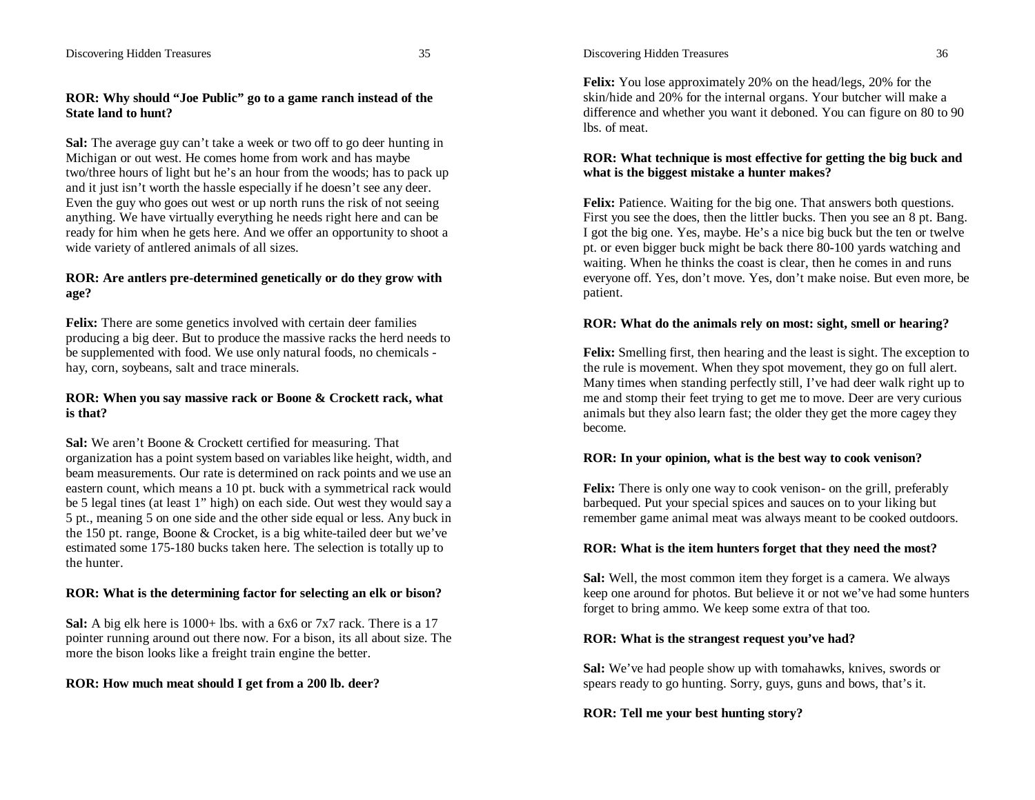#### Discovering Hidden Treasures 35

### **ROR: Why should "Joe Public" go to a game ranch instead of the State land to hunt?**

**Sal:** The average guy can't take a week or two off to go deer hunting in Michigan or out west. He comes home from work and has maybe two/three hours of light but he's an hour from the woods; has to pack up and it just isn't worth the hassle especially if he doesn't see any deer. Even the guy who goes out west or up north runs the risk of not seeing anything. We have virtually everything he needs right here and can be ready for him when he gets here. And we offer an opportunity to shoot a wide variety of antlered animals of all sizes.

#### **ROR: Are antlers pre-determined genetically or do they grow with age?**

**Felix:** There are some genetics involved with certain deer families producing a big deer. But to produce the massive racks the herd needs to be supplemented with food. We use only natural foods, no chemicals hay, corn, soybeans, salt and trace minerals.

#### **ROR: When you say massive rack or Boone & Crockett rack, what is that?**

**Sal:** We aren't Boone & Crockett certified for measuring. That organization has a point system based on variables like height, width, and beam measurements. Our rate is determined on rack points and we use an eastern count, which means a 10 pt. buck with a symmetrical rack would be 5 legal tines (at least 1" high) on each side. Out west they would say a 5 pt., meaning 5 on one side and the other side equal or less. Any buck in the 150 pt. range, Boone & Crocket, is a big white-tailed deer but we've estimated some 175-180 bucks taken here. The selection is totally up to the hunter.

## **ROR: What is the determining factor for selecting an elk or bison?**

**Sal:** A big elk here is 1000+ lbs. with a 6x6 or 7x7 rack. There is a 17 pointer running around out there now. For a bison, its all about size. The more the bison looks like a freight train engine the better.

#### **ROR: How much meat should I get from a 200 lb. deer?**

Discovering Hidden Treasures 36

**Felix:** You lose approximately 20% on the head/legs, 20% for the skin/hide and 20% for the internal organs. Your butcher will make a difference and whether you want it deboned. You can figure on 80 to 90 lbs. of meat.

## **ROR: What technique is most effective for getting the big buck and what is the biggest mistake a hunter makes?**

**Felix:** Patience. Waiting for the big one. That answers both questions. First you see the does, then the littler bucks. Then you see an 8 pt. Bang. I got the big one. Yes, maybe. He's a nice big buck but the ten or twelve pt. or even bigger buck might be back there 80-100 yards watching and waiting. When he thinks the coast is clear, then he comes in and runs everyone off. Yes, don't move. Yes, don't make noise. But even more, be patient.

#### **ROR: What do the animals rely on most: sight, smell or hearing?**

**Felix:** Smelling first, then hearing and the least is sight. The exception to the rule is movement. When they spot movement, they go on full alert. Many times when standing perfectly still, I've had deer walk right up to me and stomp their feet trying to get me to move. Deer are very curious animals but they also learn fast; the older they get the more cagey they become.

#### **ROR: In your opinion, what is the best way to cook venison?**

**Felix:** There is only one way to cook venison- on the grill, preferably barbequed. Put your special spices and sauces on to your liking but remember game animal meat was always meant to be cooked outdoors.

#### **ROR: What is the item hunters forget that they need the most?**

**Sal:** Well, the most common item they forget is a camera. We always keep one around for photos. But believe it or not we've had some hunters forget to bring ammo. We keep some extra of that too.

#### **ROR: What is the strangest request you've had?**

**Sal:** We've had people show up with tomahawks, knives, swords or spears ready to go hunting. Sorry, guys, guns and bows, that's it.

## **ROR: Tell me your best hunting story?**